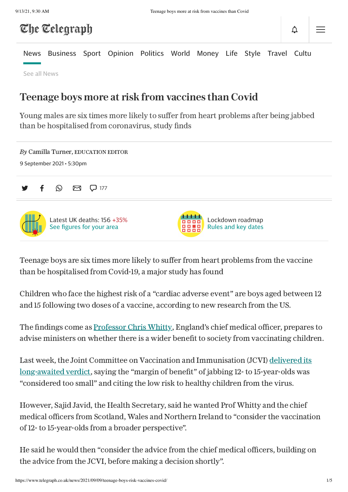# The Telegraph

[News](https://www.telegraph.co.uk/news/) [Business](https://www.telegraph.co.uk/business/) [Sport](https://www.telegraph.co.uk/sport/) [Opinion](https://www.telegraph.co.uk/opinion/) [Politics](https://www.telegraph.co.uk/politics/) [World](https://www.telegraph.co.uk/world-news/) [Money](https://www.telegraph.co.uk/money/) [Life](https://www.telegraph.co.uk/lifestyle/) [Style](https://www.telegraph.co.uk/style/) [Travel](https://www.telegraph.co.uk/travel/) [Culture](https://www.telegraph.co.uk/culture/)

See all [News](https://www.telegraph.co.uk/all-sections#news)

## Teenage boys more at risk from vaccines than Covid

Young males are six times more likely to suffer from heart problems after being jabbed than be hospitalised from coronavirus, study finds

| By Camilla Turner, EDUCATION EDITOR<br>9 September 2021 $\cdot$ 5:30pm |                                                         |
|------------------------------------------------------------------------|---------------------------------------------------------|
| $\boxtimes$ $\Box$ 177<br>$\odot$                                      |                                                         |
| Latest UK deaths: $156 + 35\%$<br>See figures for your area            | Lockdown roadmap<br>0000<br>Rules and key dates<br>8858 |

Teenage boys are six times more likely to suffer from heart problems from the vaccine than be hospitalised from Covid-19, a major study has found

Children who face the highest risk of a "cardiac adverse event" are boys aged between 12 and 15 following two doses of a vaccine, according to new research from the US.

The findings come as [Professor](https://www.telegraph.co.uk/news/2021/07/02/chris-whitty-video-man-charged-common-assault-chief-medical/) Chris Whitty, England's chief medical officer, prepares to advise ministers on whether there is a wider benefit to society from vaccinating children.

Last week, the Joint Committee on Vaccination and [Immunisation](https://www.telegraph.co.uk/global-health/science-and-disease/coronavirus-news-covid-third-vaccine-jab-schools-cases-tests/) (JCVI) delivered its long-awaited verdict, saying the "margin of benefit" of jabbing 12- to 15-year-olds was "considered too small" and citing the low risk to healthy children from the virus.

However, Sajid Javid, the Health Secretary, said he wanted Prof Whitty and the chief medical officers from Scotland, Wales and Northern Ireland to "consider the vaccination of 12- to 15-year-olds from a broader perspective".

He said he would then "consider the advice from the chief medical officers, building on the advice from the JCVI, before making a decision shortly".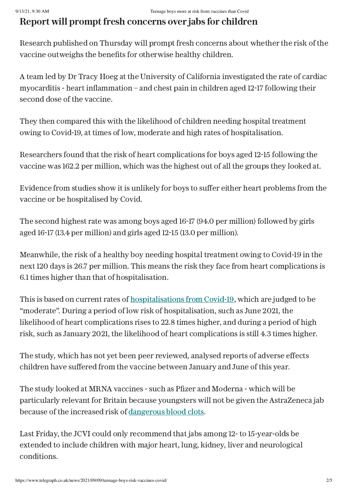### Report will prompt fresh concerns over jabs for children

Research published on Thursday will prompt fresh concerns about whether the risk of the vaccine outweighs the benefits for otherwise healthy children.

A team led by Dr Tracy Hoeg at the University of California investigated the rate of cardiac myocarditis - heart inflammation – and chest pain in children aged 12-17 following their second dose of the vaccine.

They then compared this with the likelihood of children needing hospital treatment owing to Covid-19, at times of low, moderate and high rates of hospitalisation.

Researchers found that the risk of heart complications for boys aged 12-15 following the vaccine was 162.2 per million, which was the highest out of all the groups they looked at.

Evidence from studies show it is unlikely for boys to suffer either heart problems from the vaccine or be hospitalised by Covid.

The second highest rate was among boys aged 16-17 (94.0 per million) followed by girls aged 16-17 (13.4 per million) and girls aged 12-15 (13.0 per million).

Meanwhile, the risk of a healthy boy needing hospital treatment owing to Covid-19 in the next 120 days is 26.7 per million. This means the risk they face from heart complications is 6.1 times higher than that of hospitalisation.

This is based on current rates of [hospitalisations](https://www.telegraph.co.uk/news/2021/07/26/exclusive-half-covid-hospitalisations-tested-positive-admission/) from Covid-19, which are judged to be "moderate". During a period of low risk of hospitalisation, such as June 2021, the likelihood of heart complications rises to 22.8 times higher, and during a period of high risk, such as January 2021, the likelihood of heart complications is still 4.3 times higher.

The study, which has not yet been peer reviewed, analysed reports of adverse effects children have suffered from the vaccine between January and June of this year.

The study looked at MRNA vaccines - such as Pfizer and Moderna - which will be particularly relevant for Britain because youngsters will not be given the AstraZeneca jab because of the increased risk of [dangerous](https://www.telegraph.co.uk/news/2021/08/11/deadly-blood-clots-have-stopped-since-under-40s-advised-not/) blood clots.

Last Friday, the JCVI could only recommend that jabs among 12- to 15-year-olds be extended to include children with major heart, lung, kidney, liver and neurological conditions.